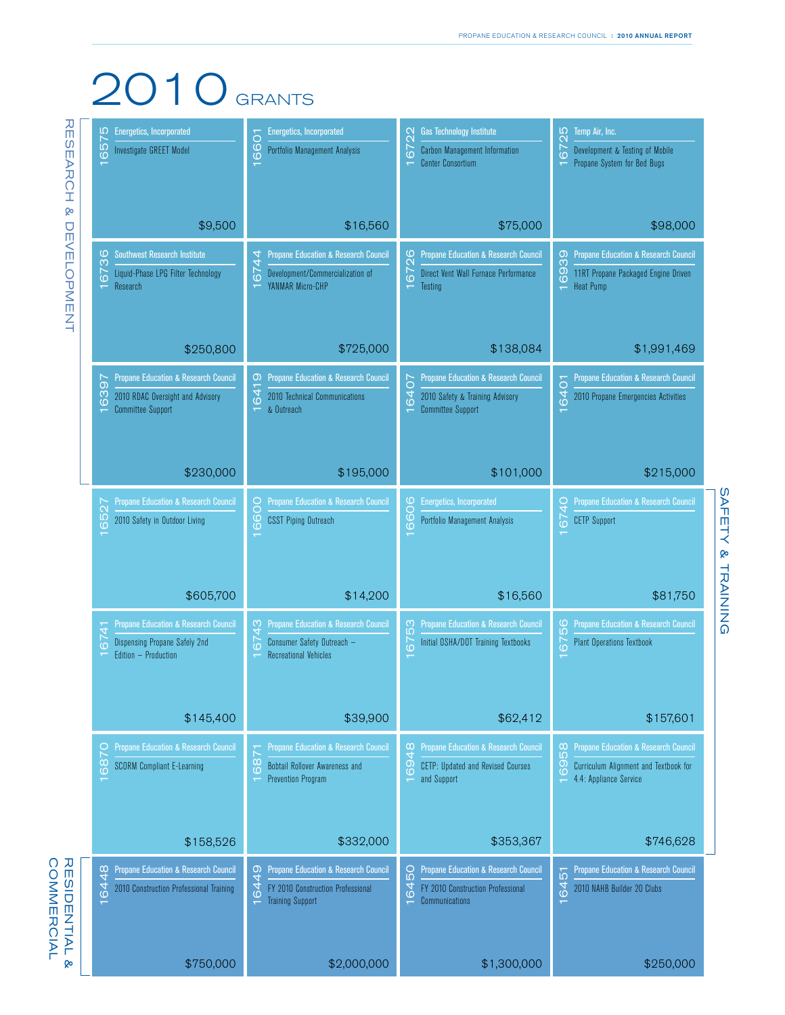## 2010 GRANTS

| <b>Energetics, Incorporated</b><br>Ю                       | <b>Energetics, Incorporated</b>                                 | <b>Gas Technology Institute</b><br>$\circ$                     | Temp Air, Inc.<br>IО                                           |
|------------------------------------------------------------|-----------------------------------------------------------------|----------------------------------------------------------------|----------------------------------------------------------------|
| 657<br>Investigate GREET Model                             | 6601<br>Portfolio Management Analysis                           | $\mathbf{\Omega}$<br>7<br><b>Carbon Management Information</b> | $\mathbf{\Omega}$<br>7<br>Development & Testing of Mobile      |
|                                                            |                                                                 | <b>Center Consortium</b>                                       | Propane System for Bed Bugs                                    |
|                                                            |                                                                 |                                                                |                                                                |
|                                                            |                                                                 |                                                                |                                                                |
|                                                            |                                                                 |                                                                |                                                                |
| \$9,500                                                    | \$16,560                                                        | \$75,000                                                       | \$98,000                                                       |
| <b>Southwest Research Institute</b><br>O                   | <b>Propane Education &amp; Research Council</b>                 | <b>Propane Education &amp; Research Council</b><br>ဖ           | <b>Propane Education &amp; Research Council</b><br>0)          |
| m<br>Liquid-Phase LPG Filter Technology                    | $\frac{4}{4}$<br><b>67.</b><br>Development/Commercialization of | 672<br>Direct Vent Wall Furnace Performance                    | ო<br>11RT Propane Packaged Engine Driven                       |
| 67<br>Research                                             | YANMAR Micro-CHP                                                | Testing                                                        | 69<br><b>Heat Pump</b>                                         |
|                                                            |                                                                 |                                                                |                                                                |
|                                                            |                                                                 |                                                                |                                                                |
|                                                            |                                                                 |                                                                |                                                                |
| \$250,800                                                  | \$725,000                                                       | \$138,084                                                      | \$1,991,469                                                    |
|                                                            |                                                                 |                                                                |                                                                |
| <b>Propane Education &amp; Research Council</b><br>$\circ$ | <b>Propane Education &amp; Research Council</b><br>0            | Propane Education & Research Council<br>$\circ$                | <b>Propane Education &amp; Research Council</b><br>6401        |
| 63<br>2010 RDAC Oversight and Advisory                     | 641<br>2010 Technical Communications                            | 64<br>2010 Safety & Training Advisory                          | 2010 Propane Emergencies Activities                            |
| <b>Committee Support</b>                                   | & Outreach<br>$\overline{\phantom{0}}$                          | <b>Committee Support</b>                                       |                                                                |
|                                                            |                                                                 |                                                                |                                                                |
|                                                            |                                                                 |                                                                |                                                                |
| \$230,000                                                  | \$195,000                                                       | \$101,000                                                      | \$215,000                                                      |
|                                                            |                                                                 |                                                                |                                                                |
| <b>Propane Education &amp; Research Council</b>            | <b>Propane Education &amp; Research Council</b>                 | <b>Energetics, Incorporated</b><br>ဖ<br>O                      | <b>Propane Education &amp; Research Council</b><br>O           |
| 6527<br>2010 Safety in Outdoor Living                      | 6600<br><b>CSST Piping Outreach</b>                             | GÕ<br>Portfolio Management Analysis                            | 674<br><b>CETP Support</b>                                     |
|                                                            | $\overline{\phantom{0}}$                                        |                                                                |                                                                |
|                                                            |                                                                 |                                                                |                                                                |
|                                                            |                                                                 |                                                                |                                                                |
| \$605,700                                                  | \$14,200                                                        | \$16,560                                                       | \$81,750                                                       |
|                                                            |                                                                 |                                                                |                                                                |
| <b>Propane Education &amp; Research Council</b>            | <b>Propane Education &amp; Research Council</b><br>ო<br>4       | <b>Propane Education &amp; Research Council</b><br>ო<br>Ю      | <b>Propane Education &amp; Research Council</b><br>ဖ<br>ιດ     |
| င်<br>Dispensing Propane Safely 2nd                        | 67<br>Consumer Safety Outreach -                                | 76<br>Initial OSHA/DOT Training Textbooks                      | $\overline{67}$<br><b>Plant Operations Textbook</b>            |
| Edition - Production                                       | <b>Recreational Vehicles</b><br>$\overline{ }$                  |                                                                | $\overline{\phantom{0}}$                                       |
|                                                            |                                                                 |                                                                |                                                                |
|                                                            |                                                                 |                                                                |                                                                |
| \$145,400                                                  | \$39,900                                                        | \$62,412                                                       | \$157,601                                                      |
|                                                            |                                                                 |                                                                |                                                                |
| Propane Education & Research Council                       | <b>Propane Education &amp; Research Council</b>                 | <b>Propane Education &amp; Research Council</b><br>$\infty$    | <b>Propane Education &amp; Research Council</b><br>$\infty$    |
| $\frac{8}{2}$<br><b>SCORM Compliant E-Learning</b>         | 68<br>Bobtail Rollover Awareness and                            | 4<br>69<br>CETP: Updated and Revised Courses                   | LO <sub>1</sub><br>69<br>Curriculum Alignment and Textbook for |
|                                                            | <b>Prevention Program</b><br>$\overline{\phantom{0}}$           | and Support                                                    | 4.4: Appliance Service                                         |
|                                                            |                                                                 |                                                                |                                                                |
|                                                            |                                                                 |                                                                |                                                                |
|                                                            |                                                                 |                                                                |                                                                |
| \$158,526                                                  | \$332,000                                                       | \$353,367                                                      | \$746,628                                                      |
| Propane Education & Research Council                       | <b>Propane Education &amp; Research Council</b>                 | Propane Education & Research Council<br>Ōд                     | <b>Propane Education &amp; Research Council</b>                |
| 6448<br>2010 Construction Professional Training            | 6449<br>FY 2010 Construction Professional                       | 64<br>FY 2010 Construction Professional                        | 6451<br>2010 NAHB Builder 20 Clubs                             |
|                                                            | <b>Training Support</b><br>÷                                    | Communications                                                 | $\overline{\phantom{0}}$                                       |
|                                                            |                                                                 |                                                                |                                                                |
|                                                            |                                                                 |                                                                |                                                                |
|                                                            |                                                                 |                                                                |                                                                |
| \$750,000                                                  | \$2,000,000                                                     | \$1,300,000                                                    | \$250,000                                                      |

SAFETY & TRAINING SAFETY & TRAINING

## RESIDENTIAL &<br>COMMERCIAL Commercial Residential &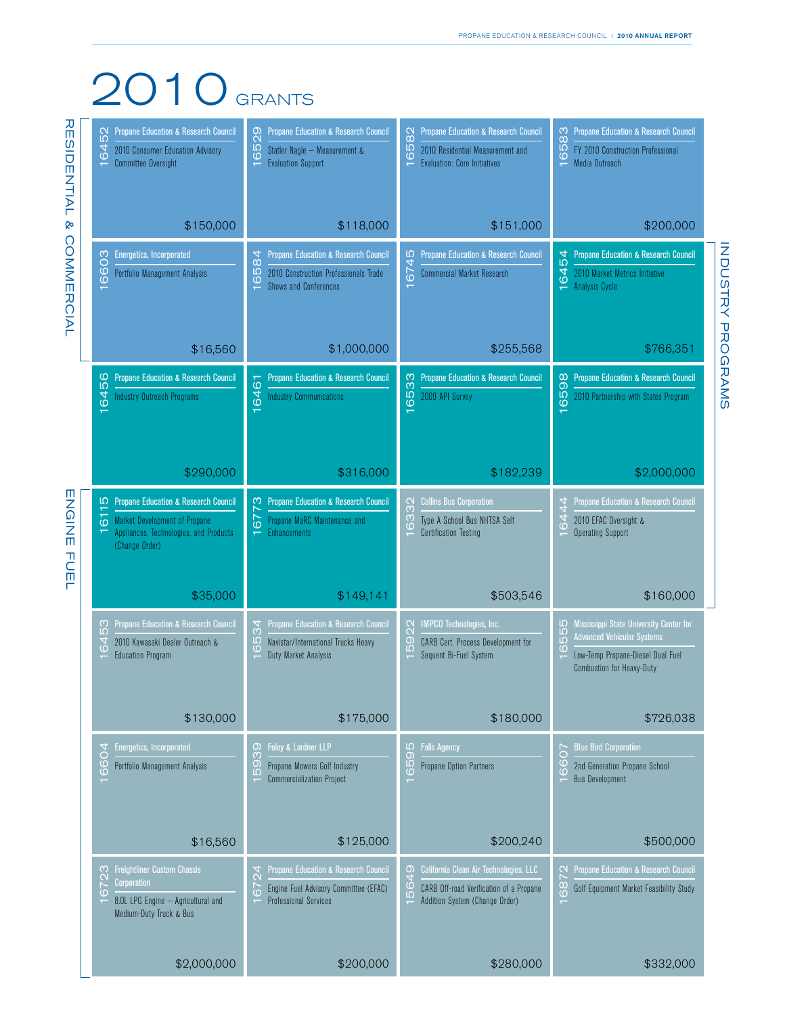## 2010 GRANTS

**ENGINE FUEL** ENGINE FUEL

| <b>Propane Education &amp; Research Council</b><br>52<br>$\overline{6}$<br>2010 Consumer Education Advisory<br><b>Committee Oversight</b><br>$\overline{ }$                                     | <b>Propane Education &amp; Research Council</b><br>6529<br>Statler Nagle - Measurement &<br><b>Evaluation Support</b><br>$\overline{\phantom{0}}$                 | <b>Propane Education &amp; Research Council</b><br>$\frac{2}{8}$<br>IÓ.<br>2010 Residential Measurement and<br>$\circ$<br><b>Evaluation: Core Initiatives</b> | <b>Propane Education &amp; Research Council</b><br>583<br>FY 2010 Construction Professional<br>$\circ$<br>Media Outreach<br>$\overline{ }$                           |
|-------------------------------------------------------------------------------------------------------------------------------------------------------------------------------------------------|-------------------------------------------------------------------------------------------------------------------------------------------------------------------|---------------------------------------------------------------------------------------------------------------------------------------------------------------|----------------------------------------------------------------------------------------------------------------------------------------------------------------------|
| \$150,000                                                                                                                                                                                       | \$118,000                                                                                                                                                         | \$151,000                                                                                                                                                     | \$200,000                                                                                                                                                            |
| <b>Energetics, Incorporated</b><br>6603<br>Portfolio Management Analysis<br>$\overline{\mathbf{v}}$                                                                                             | <b>Propane Education &amp; Research Council</b><br>$\frac{8}{4}$<br>ιΩ<br>2010 Construction Professionals Trade<br>$\ddot{\circ}$<br><b>Shows and Conferences</b> | <b>Propane Education &amp; Research Council</b><br>Ю<br>674<br><b>Commercial Market Research</b>                                                              | <b>Propane Education &amp; Research Council</b><br>54<br>64<br>2010 Market Metrics Initiative<br>Analysis Cycle                                                      |
| \$16,560                                                                                                                                                                                        | \$1,000,000                                                                                                                                                       | \$255,568                                                                                                                                                     | \$766,351                                                                                                                                                            |
| <b>Propane Education &amp; Research Council</b><br>6456<br><b>Industry Outreach Programs</b><br>$\overline{\mathbf{r}}$                                                                         | <b>Propane Education &amp; Research Council</b><br>6461<br><b>Industry Communications</b><br>$\overline{\phantom{0}}$                                             | <b>Propane Education &amp; Research Council</b><br>6533<br>2009 API Survey<br>$\overline{ }$                                                                  | <b>Propane Education &amp; Research Council</b><br>$\infty$<br>659<br>2010 Partnership with States Program<br>$\overline{ }$                                         |
| \$290,000                                                                                                                                                                                       | \$316,000                                                                                                                                                         | \$182,239                                                                                                                                                     | \$2,000,000                                                                                                                                                          |
| <b>IO</b> Propane Education & Research Council<br>$\overline{6}$<br><b>Market Development of Propane</b><br>Appliances, Technologies, and Products<br>$\overline{\mathbf{v}}$<br>(Change Order) | <b>Propane Education &amp; Research Council</b><br>ო<br>67<br>Propane MaRC Maintenance and<br><b>Enhancements</b><br>$\overline{\phantom{0}}$                     | <b>Collins Bus Corporation</b><br>SS<br>S<br>63<br>Type A School Bus NHTSA Self<br><b>Certification Testing</b>                                               | Propane Education & Research Council<br>4<br>4<br>64<br>2010 EFAC Oversight &<br><b>Operating Support</b>                                                            |
| \$35,000                                                                                                                                                                                        | \$149,141                                                                                                                                                         | \$503,546                                                                                                                                                     | \$160,000                                                                                                                                                            |
| Propane Education & Research Council<br>53<br>64<br>2010 Kawasaki Dealer Outreach &<br><b>Education Program</b>                                                                                 | Propane Education & Research Council<br>34<br>65<br>Navistar/International Trucks Heavy<br>Duty Market Analysis                                                   | <b>IMPCO</b> Technologies, Inc.<br>922<br>CARB Cert. Process Development for<br>$\Omega$<br>Sequent Bi-Fuel System                                            | Mississippi State University Center for<br>Ю<br>55<br><b>Advanced Vehicular Systems</b><br>$\circ$<br>Low-Temp Propane-Diesel Dual Fuel<br>Combustion for Heavy-Duty |
| \$130,000                                                                                                                                                                                       | \$175,000                                                                                                                                                         | \$180,000                                                                                                                                                     | \$726,038                                                                                                                                                            |
| <b>Energetics, Incorporated</b><br>6604<br>Portfolio Management Analysis                                                                                                                        | Foley & Lardner LLP<br>0<br>S<br>တ<br>Propane Mowers Golf Industry<br>$\overline{10}$<br><b>Commercialization Project</b>                                         | <b>IO</b><br><b>Falls Agency</b><br>$\circ$<br>65<br>Propane Option Partners                                                                                  | <b>Blue Bird Corporation</b><br>70<br>$\circ$<br>2nd Generation Propane School<br>$\overline{O}$<br><b>Bus Development</b>                                           |
| \$16,560                                                                                                                                                                                        | \$125,000                                                                                                                                                         | \$200,240                                                                                                                                                     | \$500,000                                                                                                                                                            |
| <b>Freightliner Custom Chassis</b><br>C,<br><b>Corporation</b><br>$\overline{6}$<br>8.0L LPG Engine - Agricultural and<br>Medium-Duty Truck & Bus                                               | Propane Education & Research Council<br>6724<br>Engine Fuel Advisory Committee (EFAC)<br><b>Professional Services</b>                                             | California Clean Air Technologies, LLC<br>0<br>64<br>CARB Off-road Verification of a Propane<br>LO <sub>1</sub><br>Addition System (Change Order)             | Propane Education & Research Council<br>6872<br>Golf Equipment Market Feasibility Study                                                                              |
| \$2,000,000                                                                                                                                                                                     | \$200,000                                                                                                                                                         | \$280,000                                                                                                                                                     | \$332,000                                                                                                                                                            |